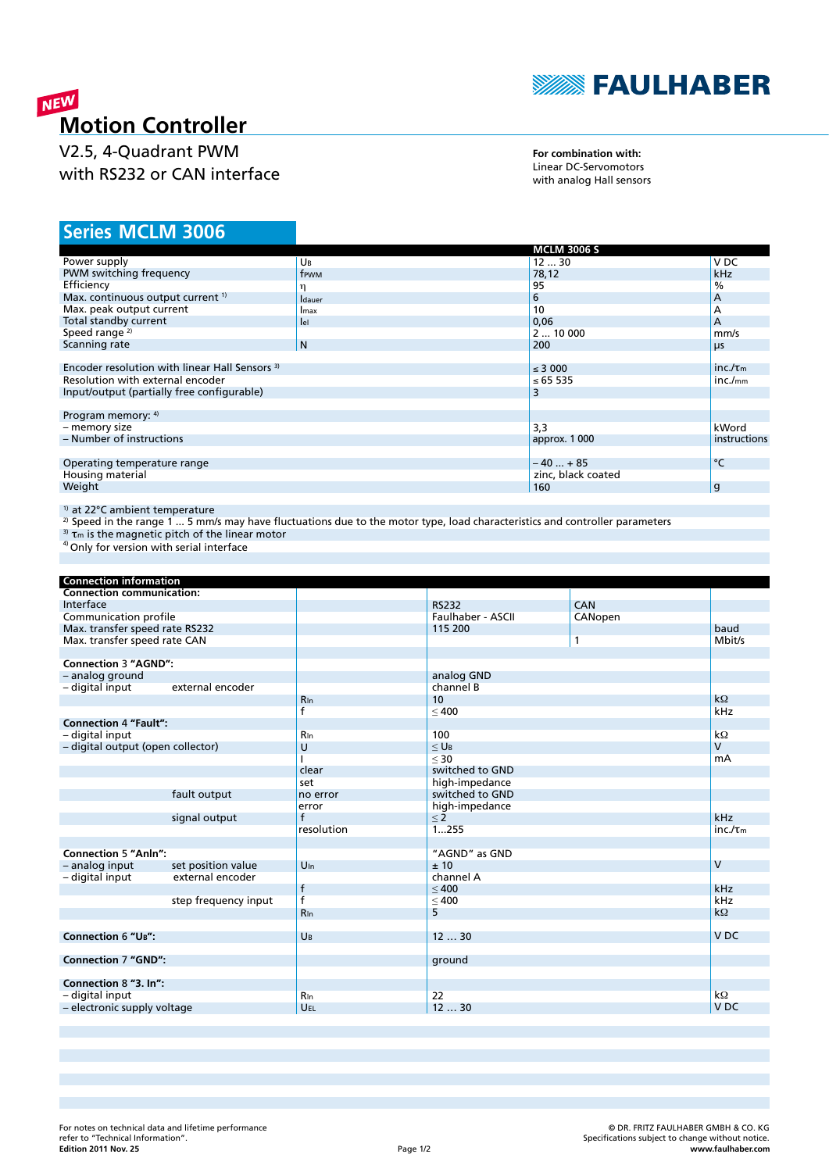

# **MEW**<br>Motion Controller

V2.5, 4-Quadrant PWM with RS232 or CAN interface

**For combination with:** Linear DC-Servomotors with analog Hall sensors

# **MCLM 3006 Series**

|                                                           | <b>MCLM 3006 S</b> |                                                                                                |
|-----------------------------------------------------------|--------------------|------------------------------------------------------------------------------------------------|
| UB                                                        | 1230               | V DC                                                                                           |
| frwm                                                      | 78,12              | <b>kHz</b>                                                                                     |
|                                                           | 95                 | $\%$                                                                                           |
| <b>I</b> dauer                                            | 6                  | А                                                                                              |
| Imax                                                      | 10                 | А                                                                                              |
| lel                                                       | 0,06               | A                                                                                              |
|                                                           | 210000             | mm/s                                                                                           |
| N <sub>1</sub>                                            | 200                | μs                                                                                             |
|                                                           |                    |                                                                                                |
| Encoder resolution with linear Hall Sensors <sup>3)</sup> |                    |                                                                                                |
| Resolution with external encoder                          |                    |                                                                                                |
| Input/output (partially free configurable)                |                    |                                                                                                |
|                                                           |                    |                                                                                                |
| Program memory: 4)                                        |                    |                                                                                                |
| - memory size                                             |                    |                                                                                                |
| - Number of instructions                                  |                    | instructions                                                                                   |
|                                                           |                    | °C                                                                                             |
| Operating temperature range                               |                    |                                                                                                |
| Housing material                                          |                    |                                                                                                |
| Weight                                                    |                    |                                                                                                |
|                                                           |                    | $\leq$ 3 000<br>≤ 65 535<br>3<br>3,3<br>approx. 1 000<br>$-40+85$<br>zinc, black coated<br>160 |

<sup>1)</sup> at 22°C ambient temperature

<sup>2)</sup> Speed in the range 1 … 5 mm/s may have fluctuations due to the motor type, load characteristics and controller parameters<br><sup>3)</sup> τ<sub>m</sub> is the magnetic pitch of the linear motor

<sup>4)</sup> Only for version with serial interface

| <b>Connection information</b>     |                      |                 |                       |         |                 |
|-----------------------------------|----------------------|-----------------|-----------------------|---------|-----------------|
| <b>Connection communication:</b>  |                      |                 |                       |         |                 |
| Interface                         |                      |                 | <b>RS232</b>          | CAN     |                 |
| Communication profile             |                      |                 | Faulhaber - ASCII     | CANopen |                 |
| Max. transfer speed rate RS232    |                      |                 | 115 200               |         | baud            |
| Max. transfer speed rate CAN      |                      |                 |                       | 1       | Mbit/s          |
|                                   |                      |                 |                       |         |                 |
| <b>Connection 3 "AGND":</b>       |                      |                 |                       |         |                 |
| - analog ground                   |                      |                 | analog GND            |         |                 |
| - digital input                   | external encoder     |                 | channel B             |         |                 |
|                                   |                      | <b>R</b> In     | 10                    |         | $k\Omega$       |
|                                   |                      | f               | < 400                 |         | kHz             |
| <b>Connection 4 "Fault":</b>      |                      |                 |                       |         |                 |
| - digital input                   |                      | Rin             | 100                   |         | $k\Omega$       |
| - digital output (open collector) |                      | U               | $\leq$ U <sub>B</sub> |         | $\mathsf{V}$    |
|                                   |                      |                 | $30$                  |         | mA              |
|                                   |                      | clear           | switched to GND       |         |                 |
|                                   |                      | set             | high-impedance        |         |                 |
|                                   | fault output         | no error        | switched to GND       |         |                 |
|                                   |                      | error           | high-impedance        |         |                 |
|                                   | signal output        | f               | $\leq$ 2              |         | kHz             |
|                                   |                      | resolution      | 1255                  |         | $inc./\tau_m$   |
|                                   |                      |                 |                       |         |                 |
| <b>Connection 5 "Anln":</b>       |                      |                 | "AGND" as GND         |         |                 |
| - analog input                    | set position value   | $U_{\text{In}}$ | ±10                   |         | $\mathsf{V}$    |
| - digital input                   | external encoder     |                 | channel A             |         |                 |
|                                   |                      | $\mathsf{f}$    | < 400                 |         | kHz             |
|                                   | step frequency input | $\overline{f}$  | $\leq 400$            |         | kHz             |
|                                   |                      | Rin             | 5                     |         | $k\Omega$       |
|                                   |                      |                 |                       |         |                 |
| <b>Connection 6 "UB":</b>         |                      | UB              | 1230                  |         | V <sub>DC</sub> |
|                                   |                      |                 |                       |         |                 |
| <b>Connection 7 "GND":</b>        |                      |                 | ground                |         |                 |
|                                   |                      |                 |                       |         |                 |
| Connection 8 "3. In":             |                      |                 |                       |         |                 |
| - digital input                   |                      | Rin             | 22                    |         | $k\Omega$       |
| - electronic supply voltage       |                      | UEL             | 1230                  |         | V <sub>DC</sub> |
|                                   |                      |                 |                       |         |                 |